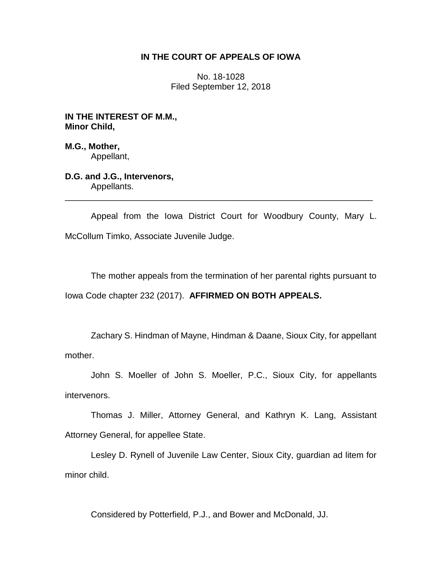## **IN THE COURT OF APPEALS OF IOWA**

No. 18-1028 Filed September 12, 2018

**IN THE INTEREST OF M.M., Minor Child,**

**M.G., Mother,** Appellant,

**D.G. and J.G., Intervenors,** Appellants.

Appeal from the Iowa District Court for Woodbury County, Mary L. McCollum Timko, Associate Juvenile Judge.

\_\_\_\_\_\_\_\_\_\_\_\_\_\_\_\_\_\_\_\_\_\_\_\_\_\_\_\_\_\_\_\_\_\_\_\_\_\_\_\_\_\_\_\_\_\_\_\_\_\_\_\_\_\_\_\_\_\_\_\_\_\_\_\_

The mother appeals from the termination of her parental rights pursuant to Iowa Code chapter 232 (2017). **AFFIRMED ON BOTH APPEALS.**

Zachary S. Hindman of Mayne, Hindman & Daane, Sioux City, for appellant mother.

John S. Moeller of John S. Moeller, P.C., Sioux City, for appellants intervenors.

Thomas J. Miller, Attorney General, and Kathryn K. Lang, Assistant Attorney General, for appellee State.

Lesley D. Rynell of Juvenile Law Center, Sioux City, guardian ad litem for minor child.

Considered by Potterfield, P.J., and Bower and McDonald, JJ.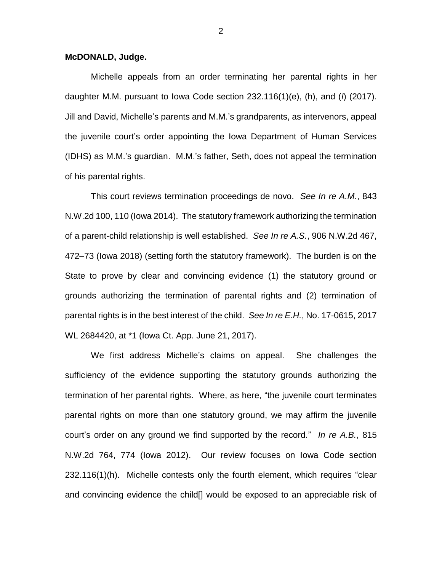## **McDONALD, Judge.**

Michelle appeals from an order terminating her parental rights in her daughter M.M. pursuant to Iowa Code section 232.116(1)(e), (h), and (*l*) (2017). Jill and David, Michelle's parents and M.M.'s grandparents, as intervenors, appeal the juvenile court's order appointing the Iowa Department of Human Services (IDHS) as M.M.'s guardian. M.M.'s father, Seth, does not appeal the termination of his parental rights.

This court reviews termination proceedings de novo. *See In re A.M.*, 843 N.W.2d 100, 110 (Iowa 2014). The statutory framework authorizing the termination of a parent-child relationship is well established. *See In re A.S.*, 906 N.W.2d 467, 472–73 (Iowa 2018) (setting forth the statutory framework). The burden is on the State to prove by clear and convincing evidence (1) the statutory ground or grounds authorizing the termination of parental rights and (2) termination of parental rights is in the best interest of the child. *See In re E.H.*, No. 17-0615, 2017 WL 2684420, at \*1 (Iowa Ct. App. June 21, 2017).

We first address Michelle's claims on appeal. She challenges the sufficiency of the evidence supporting the statutory grounds authorizing the termination of her parental rights. Where, as here, "the juvenile court terminates parental rights on more than one statutory ground, we may affirm the juvenile court's order on any ground we find supported by the record." *In re A.B.*, 815 N.W.2d 764, 774 (Iowa 2012). Our review focuses on Iowa Code section 232.116(1)(h). Michelle contests only the fourth element, which requires "clear and convincing evidence the child[] would be exposed to an appreciable risk of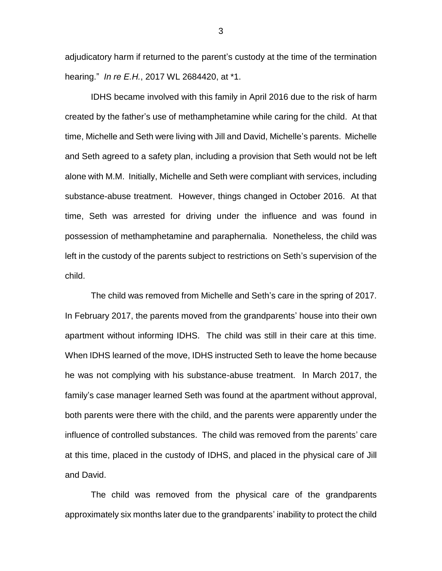adjudicatory harm if returned to the parent's custody at the time of the termination hearing." *In re E.H.*, 2017 WL 2684420, at \*1.

IDHS became involved with this family in April 2016 due to the risk of harm created by the father's use of methamphetamine while caring for the child. At that time, Michelle and Seth were living with Jill and David, Michelle's parents. Michelle and Seth agreed to a safety plan, including a provision that Seth would not be left alone with M.M. Initially, Michelle and Seth were compliant with services, including substance-abuse treatment. However, things changed in October 2016. At that time, Seth was arrested for driving under the influence and was found in possession of methamphetamine and paraphernalia. Nonetheless, the child was left in the custody of the parents subject to restrictions on Seth's supervision of the child.

The child was removed from Michelle and Seth's care in the spring of 2017. In February 2017, the parents moved from the grandparents' house into their own apartment without informing IDHS. The child was still in their care at this time. When IDHS learned of the move, IDHS instructed Seth to leave the home because he was not complying with his substance-abuse treatment. In March 2017, the family's case manager learned Seth was found at the apartment without approval, both parents were there with the child, and the parents were apparently under the influence of controlled substances. The child was removed from the parents' care at this time, placed in the custody of IDHS, and placed in the physical care of Jill and David.

The child was removed from the physical care of the grandparents approximately six months later due to the grandparents' inability to protect the child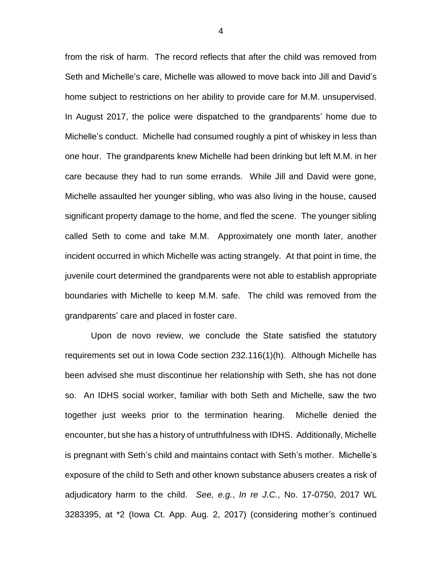from the risk of harm. The record reflects that after the child was removed from Seth and Michelle's care, Michelle was allowed to move back into Jill and David's home subject to restrictions on her ability to provide care for M.M. unsupervised. In August 2017, the police were dispatched to the grandparents' home due to Michelle's conduct. Michelle had consumed roughly a pint of whiskey in less than one hour. The grandparents knew Michelle had been drinking but left M.M. in her care because they had to run some errands. While Jill and David were gone, Michelle assaulted her younger sibling, who was also living in the house, caused significant property damage to the home, and fled the scene. The younger sibling called Seth to come and take M.M. Approximately one month later, another incident occurred in which Michelle was acting strangely. At that point in time, the juvenile court determined the grandparents were not able to establish appropriate boundaries with Michelle to keep M.M. safe. The child was removed from the grandparents' care and placed in foster care.

Upon de novo review, we conclude the State satisfied the statutory requirements set out in Iowa Code section 232.116(1)(h). Although Michelle has been advised she must discontinue her relationship with Seth, she has not done so. An IDHS social worker, familiar with both Seth and Michelle, saw the two together just weeks prior to the termination hearing. Michelle denied the encounter, but she has a history of untruthfulness with IDHS. Additionally, Michelle is pregnant with Seth's child and maintains contact with Seth's mother. Michelle's exposure of the child to Seth and other known substance abusers creates a risk of adjudicatory harm to the child. *See, e.g.*, *In re J.C.*, No. 17-0750, 2017 WL 3283395, at \*2 (Iowa Ct. App. Aug. 2, 2017) (considering mother's continued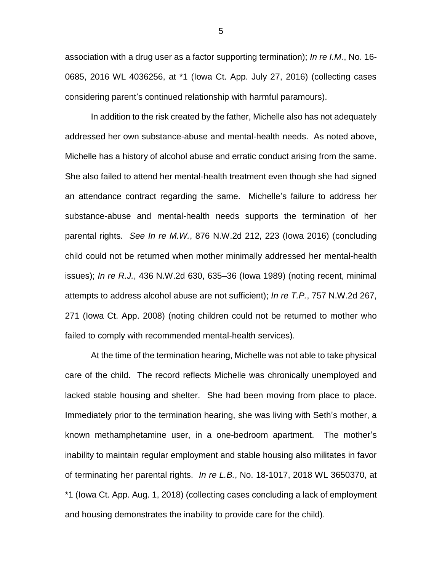association with a drug user as a factor supporting termination); *In re I.M.*, No. 16- 0685, 2016 WL 4036256, at \*1 (Iowa Ct. App. July 27, 2016) (collecting cases considering parent's continued relationship with harmful paramours).

In addition to the risk created by the father, Michelle also has not adequately addressed her own substance-abuse and mental-health needs. As noted above, Michelle has a history of alcohol abuse and erratic conduct arising from the same. She also failed to attend her mental-health treatment even though she had signed an attendance contract regarding the same. Michelle's failure to address her substance-abuse and mental-health needs supports the termination of her parental rights. *See In re M.W.*, 876 N.W.2d 212, 223 (Iowa 2016) (concluding child could not be returned when mother minimally addressed her mental-health issues); *In re R.J.*, 436 N.W.2d 630, 635–36 (Iowa 1989) (noting recent, minimal attempts to address alcohol abuse are not sufficient); *In re T.P.*, 757 N.W.2d 267, 271 (Iowa Ct. App. 2008) (noting children could not be returned to mother who failed to comply with recommended mental-health services).

At the time of the termination hearing, Michelle was not able to take physical care of the child. The record reflects Michelle was chronically unemployed and lacked stable housing and shelter. She had been moving from place to place. Immediately prior to the termination hearing, she was living with Seth's mother, a known methamphetamine user, in a one-bedroom apartment. The mother's inability to maintain regular employment and stable housing also militates in favor of terminating her parental rights. *In re L.B.*, No. 18-1017, 2018 WL 3650370, at \*1 (Iowa Ct. App. Aug. 1, 2018) (collecting cases concluding a lack of employment and housing demonstrates the inability to provide care for the child).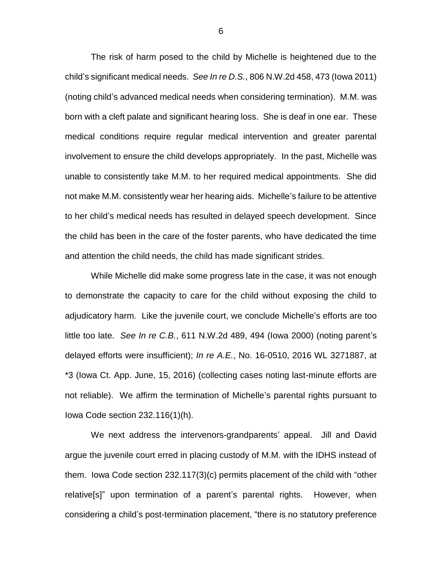The risk of harm posed to the child by Michelle is heightened due to the child's significant medical needs. *See In re D.S.*, 806 N.W.2d 458, 473 (Iowa 2011) (noting child's advanced medical needs when considering termination). M.M. was born with a cleft palate and significant hearing loss. She is deaf in one ear. These medical conditions require regular medical intervention and greater parental involvement to ensure the child develops appropriately. In the past, Michelle was unable to consistently take M.M. to her required medical appointments. She did not make M.M. consistently wear her hearing aids. Michelle's failure to be attentive to her child's medical needs has resulted in delayed speech development. Since the child has been in the care of the foster parents, who have dedicated the time and attention the child needs, the child has made significant strides.

While Michelle did make some progress late in the case, it was not enough to demonstrate the capacity to care for the child without exposing the child to adjudicatory harm. Like the juvenile court, we conclude Michelle's efforts are too little too late. *See In re C.B.*, 611 N.W.2d 489, 494 (Iowa 2000) (noting parent's delayed efforts were insufficient); *In re A.E.*, No. 16-0510, 2016 WL 3271887, at \*3 (Iowa Ct. App. June, 15, 2016) (collecting cases noting last-minute efforts are not reliable). We affirm the termination of Michelle's parental rights pursuant to Iowa Code section 232.116(1)(h).

We next address the intervenors-grandparents' appeal. Jill and David argue the juvenile court erred in placing custody of M.M. with the IDHS instead of them. Iowa Code section 232.117(3)(c) permits placement of the child with "other relative[s]" upon termination of a parent's parental rights. However, when considering a child's post-termination placement, "there is no statutory preference